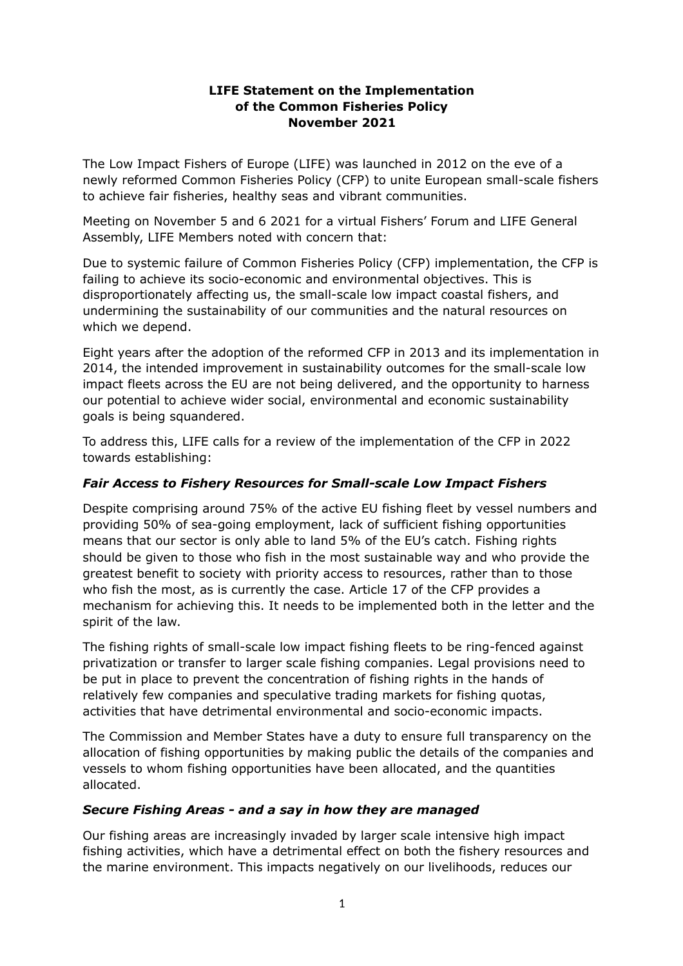#### **LIFE Statement on the Implementation of the Common Fisheries Policy November 2021**

The Low Impact Fishers of Europe (LIFE) was launched in 2012 on the eve of a newly reformed Common Fisheries Policy (CFP) to unite European small-scale fishers to achieve fair fisheries, healthy seas and vibrant communities.

Meeting on November 5 and 6 2021 for a virtual Fishers' Forum and LIFE General Assembly, LIFE Members noted with concern that:

Due to systemic failure of Common Fisheries Policy (CFP) implementation, the CFP is failing to achieve its socio-economic and environmental objectives. This is disproportionately affecting us, the small-scale low impact coastal fishers, and undermining the sustainability of our communities and the natural resources on which we depend.

Eight years after the adoption of the reformed CFP in 2013 and its implementation in 2014, the intended improvement in sustainability outcomes for the small-scale low impact fleets across the EU are not being delivered, and the opportunity to harness our potential to achieve wider social, environmental and economic sustainability goals is being squandered.

To address this, LIFE calls for a review of the implementation of the CFP in 2022 towards establishing:

## *Fair Access to Fishery Resources for Small-scale Low Impact Fishers*

Despite comprising around 75% of the active EU fishing fleet by vessel numbers and providing 50% of sea-going employment, lack of sufficient fishing opportunities means that our sector is only able to land 5% of the EU's catch. Fishing rights should be given to those who fish in the most sustainable way and who provide the greatest benefit to society with priority access to resources, rather than to those who fish the most, as is currently the case. Article 17 of the CFP provides a mechanism for achieving this. It needs to be implemented both in the letter and the spirit of the law.

The fishing rights of small-scale low impact fishing fleets to be ring-fenced against privatization or transfer to larger scale fishing companies. Legal provisions need to be put in place to prevent the concentration of fishing rights in the hands of relatively few companies and speculative trading markets for fishing quotas, activities that have detrimental environmental and socio-economic impacts.

The Commission and Member States have a duty to ensure full transparency on the allocation of fishing opportunities by making public the details of the companies and vessels to whom fishing opportunities have been allocated, and the quantities allocated.

## *Secure Fishing Areas - and a say in how they are managed*

Our fishing areas are increasingly invaded by larger scale intensive high impact fishing activities, which have a detrimental effect on both the fishery resources and the marine environment. This impacts negatively on our livelihoods, reduces our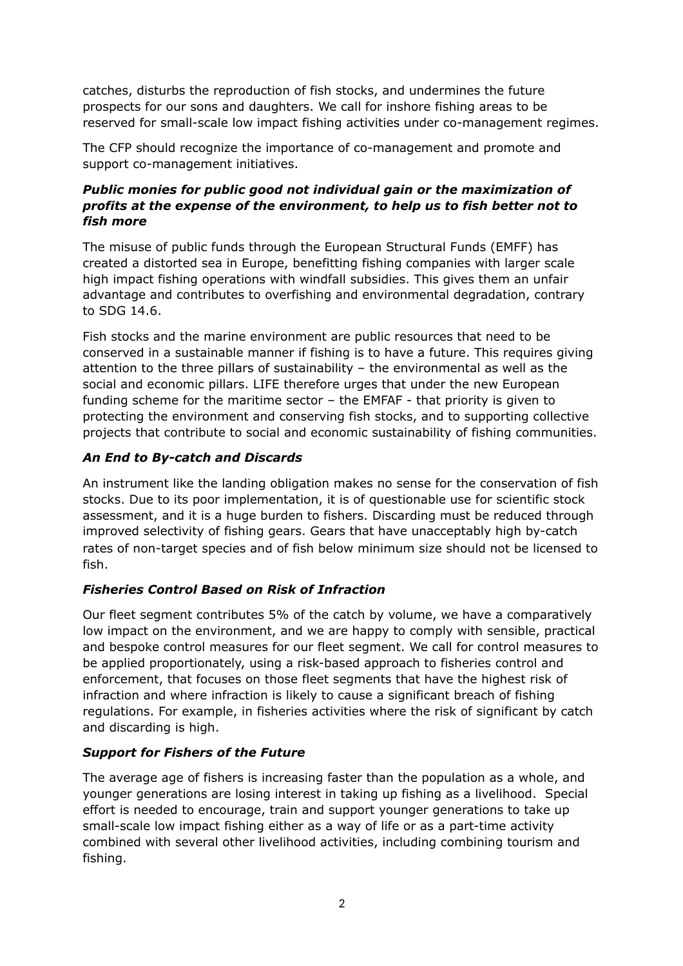catches, disturbs the reproduction of fish stocks, and undermines the future prospects for our sons and daughters. We call for inshore fishing areas to be reserved for small-scale low impact fishing activities under co-management regimes.

The CFP should recognize the importance of co-management and promote and support co-management initiatives.

# *Public monies for public good not individual gain or the maximization of profits at the expense of the environment, to help us to fish better not to fish more*

The misuse of public funds through the European Structural Funds (EMFF) has created a distorted sea in Europe, benefitting fishing companies with larger scale high impact fishing operations with windfall subsidies. This gives them an unfair advantage and contributes to overfishing and environmental degradation, contrary to SDG 14.6.

Fish stocks and the marine environment are public resources that need to be conserved in a sustainable manner if fishing is to have a future. This requires giving attention to the three pillars of sustainability – the environmental as well as the social and economic pillars. LIFE therefore urges that under the new European funding scheme for the maritime sector – the EMFAF - that priority is given to protecting the environment and conserving fish stocks, and to supporting collective projects that contribute to social and economic sustainability of fishing communities.

## *An End to By-catch and Discards*

An instrument like the landing obligation makes no sense for the conservation of fish stocks. Due to its poor implementation, it is of questionable use for scientific stock assessment, and it is a huge burden to fishers. Discarding must be reduced through improved selectivity of fishing gears. Gears that have unacceptably high by-catch rates of non-target species and of fish below minimum size should not be licensed to fish.

## *Fisheries Control Based on Risk of Infraction*

Our fleet segment contributes 5% of the catch by volume, we have a comparatively low impact on the environment, and we are happy to comply with sensible, practical and bespoke control measures for our fleet segment. We call for control measures to be applied proportionately, using a risk-based approach to fisheries control and enforcement, that focuses on those fleet segments that have the highest risk of infraction and where infraction is likely to cause a significant breach of fishing regulations. For example, in fisheries activities where the risk of significant by catch and discarding is high.

## *Support for Fishers of the Future*

The average age of fishers is increasing faster than the population as a whole, and younger generations are losing interest in taking up fishing as a livelihood. Special effort is needed to encourage, train and support younger generations to take up small-scale low impact fishing either as a way of life or as a part-time activity combined with several other livelihood activities, including combining tourism and fishing.